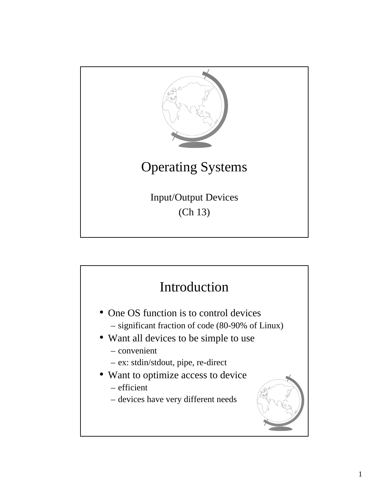

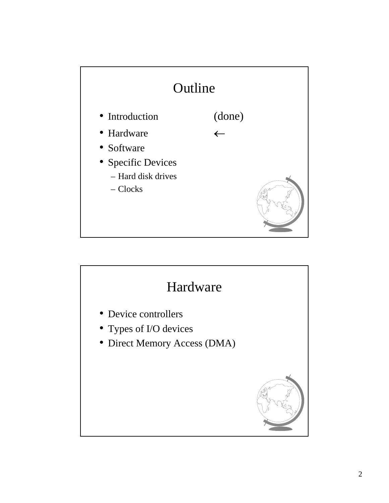

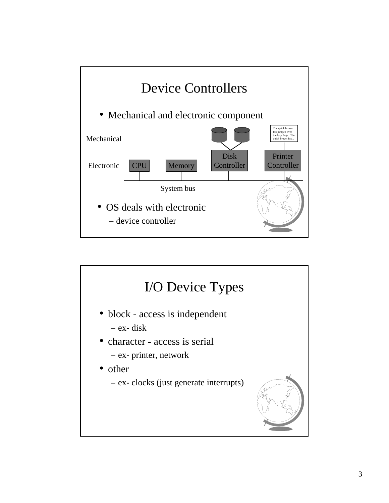

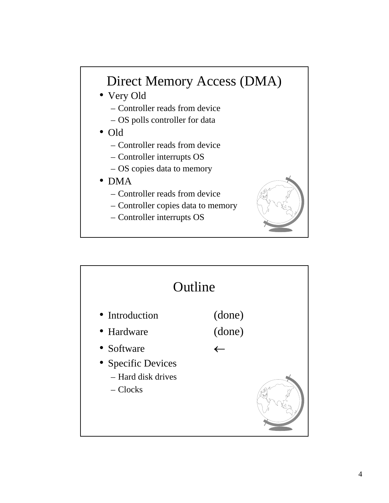## Direct Memory Access (DMA)

- Very Old
	- Controller reads from device
	- OS polls controller for data
- Old
	- Controller reads from device
	- Controller interrupts OS
	- OS copies data to memory
- DMA
	- Controller reads from device
	- Controller copies data to memory
	- Controller interrupts OS



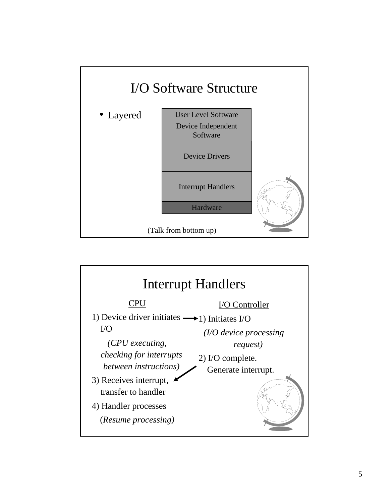

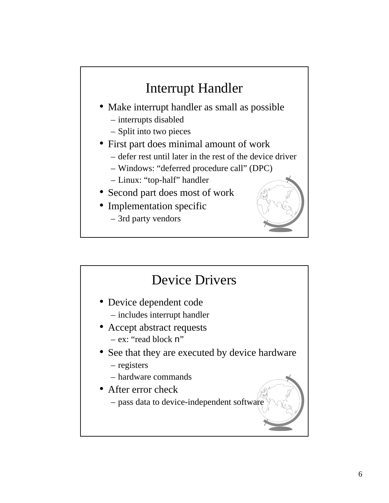## Interrupt Handler

- Make interrupt handler as small as possible
	- interrupts disabled
	- Split into two pieces
- First part does minimal amount of work
	- defer rest until later in the rest of the device driver
	- Windows: "deferred procedure call" (DPC)
	- Linux: "top-half" handler
- Second part does most of work
- Implementation specific
	- 3rd party vendors



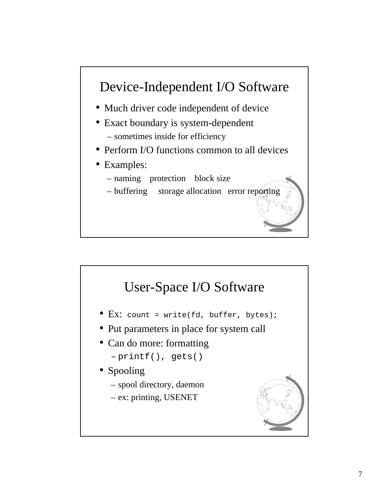

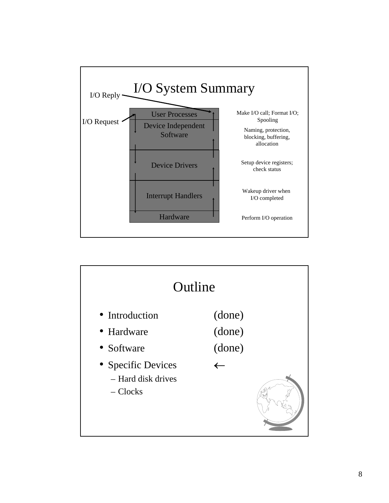

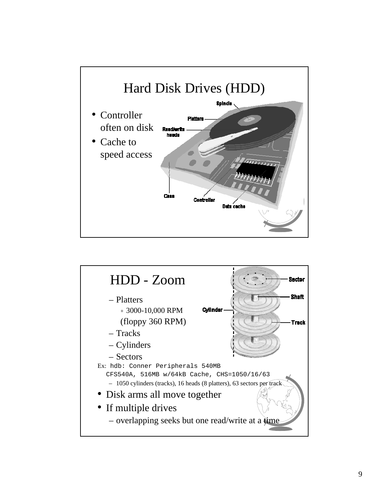

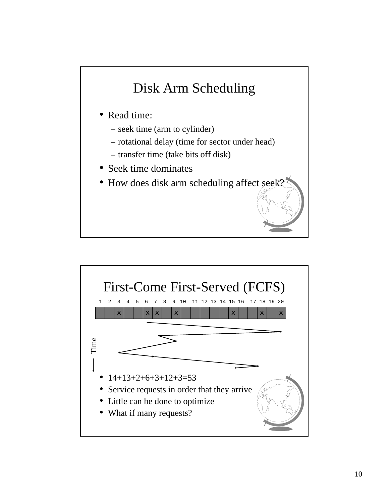## Disk Arm Scheduling

- Read time:
	- seek time (arm to cylinder)
	- rotational delay (time for sector under head)
	- transfer time (take bits off disk)
- Seek time dominates
- How does disk arm scheduling affect see

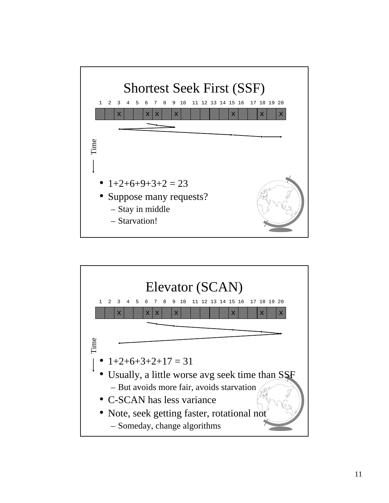

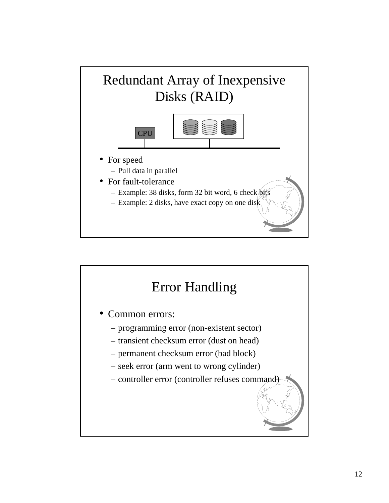